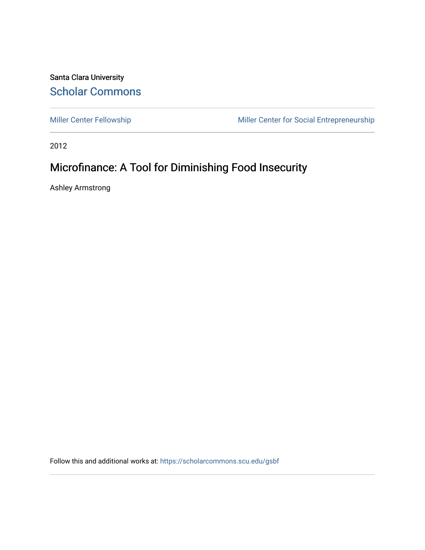Santa Clara University [Scholar Commons](https://scholarcommons.scu.edu/) 

[Miller Center Fellowship](https://scholarcommons.scu.edu/gsbf) Miller Center for Social Entrepreneurship

2012

# Microfinance: A Tool for Diminishing Food Insecurity

Ashley Armstrong

Follow this and additional works at: [https://scholarcommons.scu.edu/gsbf](https://scholarcommons.scu.edu/gsbf?utm_source=scholarcommons.scu.edu%2Fgsbf%2F15&utm_medium=PDF&utm_campaign=PDFCoverPages)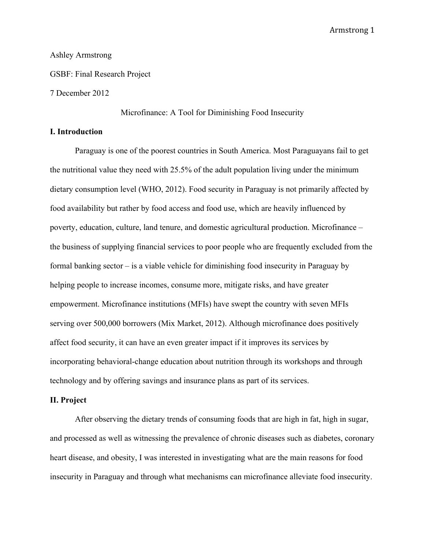# Ashley Armstrong

GSBF: Final Research Project

## 7 December 2012

Microfinance: A Tool for Diminishing Food Insecurity

# **I. Introduction**

Paraguay is one of the poorest countries in South America. Most Paraguayans fail to get the nutritional value they need with 25.5% of the adult population living under the minimum dietary consumption level (WHO, 2012). Food security in Paraguay is not primarily affected by food availability but rather by food access and food use, which are heavily influenced by poverty, education, culture, land tenure, and domestic agricultural production. Microfinance – the business of supplying financial services to poor people who are frequently excluded from the formal banking sector – is a viable vehicle for diminishing food insecurity in Paraguay by helping people to increase incomes, consume more, mitigate risks, and have greater empowerment. Microfinance institutions (MFIs) have swept the country with seven MFIs serving over 500,000 borrowers (Mix Market, 2012). Although microfinance does positively affect food security, it can have an even greater impact if it improves its services by incorporating behavioral-change education about nutrition through its workshops and through technology and by offering savings and insurance plans as part of its services.

#### **II. Project**

After observing the dietary trends of consuming foods that are high in fat, high in sugar, and processed as well as witnessing the prevalence of chronic diseases such as diabetes, coronary heart disease, and obesity, I was interested in investigating what are the main reasons for food insecurity in Paraguay and through what mechanisms can microfinance alleviate food insecurity.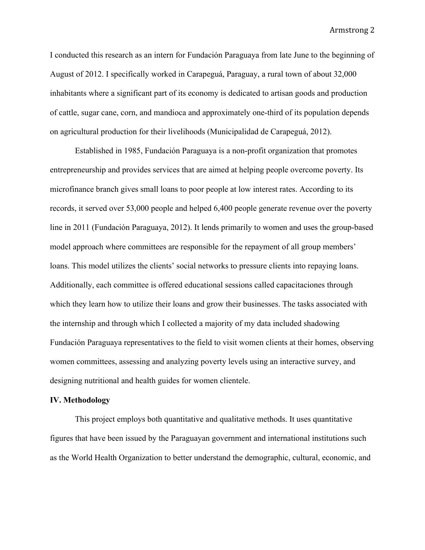I conducted this research as an intern for Fundación Paraguaya from late June to the beginning of August of 2012. I specifically worked in Carapeguá, Paraguay, a rural town of about 32,000 inhabitants where a significant part of its economy is dedicated to artisan goods and production of cattle, sugar cane, corn, and mandioca and approximately one-third of its population depends on agricultural production for their livelihoods (Municipalidad de Carapeguá, 2012).

Established in 1985, Fundación Paraguaya is a non-profit organization that promotes entrepreneurship and provides services that are aimed at helping people overcome poverty. Its microfinance branch gives small loans to poor people at low interest rates. According to its records, it served over 53,000 people and helped 6,400 people generate revenue over the poverty line in 2011 (Fundación Paraguaya, 2012). It lends primarily to women and uses the group-based model approach where committees are responsible for the repayment of all group members' loans. This model utilizes the clients' social networks to pressure clients into repaying loans. Additionally, each committee is offered educational sessions called capacitaciones through which they learn how to utilize their loans and grow their businesses. The tasks associated with the internship and through which I collected a majority of my data included shadowing Fundación Paraguaya representatives to the field to visit women clients at their homes, observing women committees, assessing and analyzing poverty levels using an interactive survey, and designing nutritional and health guides for women clientele.

#### **IV. Methodology**

This project employs both quantitative and qualitative methods. It uses quantitative figures that have been issued by the Paraguayan government and international institutions such as the World Health Organization to better understand the demographic, cultural, economic, and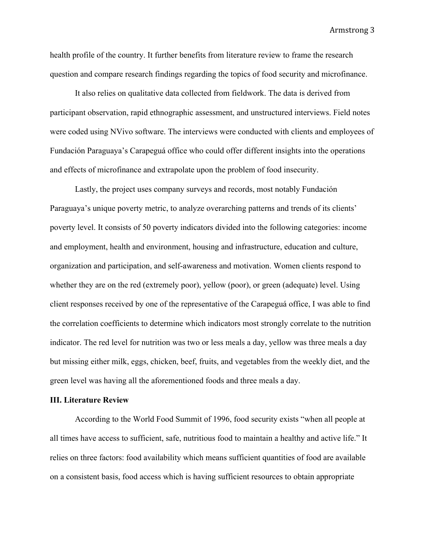health profile of the country. It further benefits from literature review to frame the research question and compare research findings regarding the topics of food security and microfinance.

It also relies on qualitative data collected from fieldwork. The data is derived from participant observation, rapid ethnographic assessment, and unstructured interviews. Field notes were coded using NVivo software. The interviews were conducted with clients and employees of Fundación Paraguaya's Carapeguá office who could offer different insights into the operations and effects of microfinance and extrapolate upon the problem of food insecurity.

Lastly, the project uses company surveys and records, most notably Fundación Paraguaya's unique poverty metric, to analyze overarching patterns and trends of its clients' poverty level. It consists of 50 poverty indicators divided into the following categories: income and employment, health and environment, housing and infrastructure, education and culture, organization and participation, and self-awareness and motivation. Women clients respond to whether they are on the red (extremely poor), yellow (poor), or green (adequate) level. Using client responses received by one of the representative of the Carapeguá office, I was able to find the correlation coefficients to determine which indicators most strongly correlate to the nutrition indicator. The red level for nutrition was two or less meals a day, yellow was three meals a day but missing either milk, eggs, chicken, beef, fruits, and vegetables from the weekly diet, and the green level was having all the aforementioned foods and three meals a day.

#### **III. Literature Review**

According to the World Food Summit of 1996, food security exists "when all people at all times have access to sufficient, safe, nutritious food to maintain a healthy and active life." It relies on three factors: food availability which means sufficient quantities of food are available on a consistent basis, food access which is having sufficient resources to obtain appropriate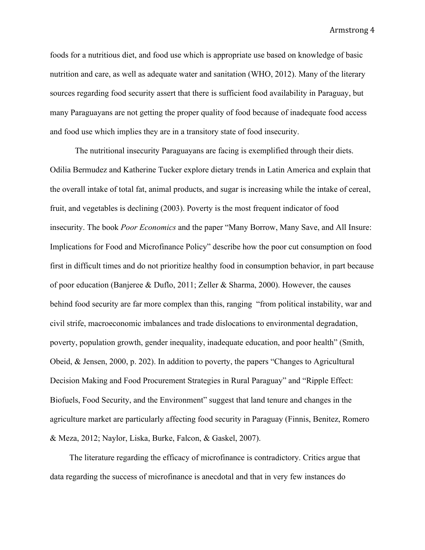foods for a nutritious diet, and food use which is appropriate use based on knowledge of basic nutrition and care, as well as adequate water and sanitation (WHO, 2012). Many of the literary sources regarding food security assert that there is sufficient food availability in Paraguay, but many Paraguayans are not getting the proper quality of food because of inadequate food access and food use which implies they are in a transitory state of food insecurity.

The nutritional insecurity Paraguayans are facing is exemplified through their diets. Odilia Bermudez and Katherine Tucker explore dietary trends in Latin America and explain that the overall intake of total fat, animal products, and sugar is increasing while the intake of cereal, fruit, and vegetables is declining (2003). Poverty is the most frequent indicator of food insecurity. The book *Poor Economics* and the paper "Many Borrow, Many Save, and All Insure: Implications for Food and Microfinance Policy" describe how the poor cut consumption on food first in difficult times and do not prioritize healthy food in consumption behavior, in part because of poor education (Banjeree & Duflo, 2011; Zeller & Sharma, 2000). However, the causes behind food security are far more complex than this, ranging "from political instability, war and civil strife, macroeconomic imbalances and trade dislocations to environmental degradation, poverty, population growth, gender inequality, inadequate education, and poor health" (Smith, Obeid, & Jensen, 2000, p. 202). In addition to poverty, the papers "Changes to Agricultural Decision Making and Food Procurement Strategies in Rural Paraguay" and "Ripple Effect: Biofuels, Food Security, and the Environment" suggest that land tenure and changes in the agriculture market are particularly affecting food security in Paraguay (Finnis, Benitez, Romero & Meza, 2012; Naylor, Liska, Burke, Falcon, & Gaskel, 2007).

The literature regarding the efficacy of microfinance is contradictory. Critics argue that data regarding the success of microfinance is anecdotal and that in very few instances do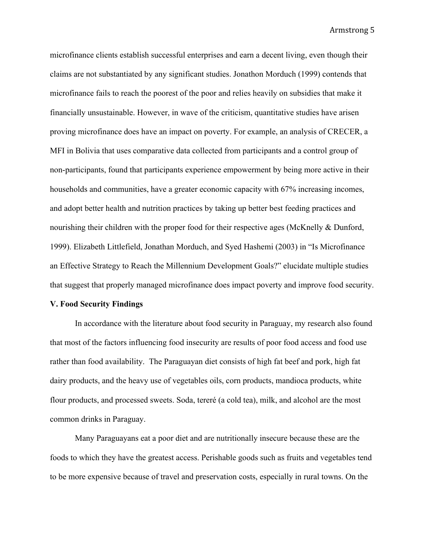microfinance clients establish successful enterprises and earn a decent living, even though their claims are not substantiated by any significant studies. Jonathon Morduch (1999) contends that microfinance fails to reach the poorest of the poor and relies heavily on subsidies that make it financially unsustainable. However, in wave of the criticism, quantitative studies have arisen proving microfinance does have an impact on poverty. For example, an analysis of CRECER, a MFI in Bolivia that uses comparative data collected from participants and a control group of non-participants, found that participants experience empowerment by being more active in their households and communities, have a greater economic capacity with 67% increasing incomes, and adopt better health and nutrition practices by taking up better best feeding practices and nourishing their children with the proper food for their respective ages (McKnelly & Dunford, 1999). Elizabeth Littlefield, Jonathan Morduch, and Syed Hashemi (2003) in "Is Microfinance an Effective Strategy to Reach the Millennium Development Goals?" elucidate multiple studies that suggest that properly managed microfinance does impact poverty and improve food security.

## **V. Food Security Findings**

In accordance with the literature about food security in Paraguay, my research also found that most of the factors influencing food insecurity are results of poor food access and food use rather than food availability. The Paraguayan diet consists of high fat beef and pork, high fat dairy products, and the heavy use of vegetables oils, corn products, mandioca products, white flour products, and processed sweets. Soda, tereré (a cold tea), milk, and alcohol are the most common drinks in Paraguay.

Many Paraguayans eat a poor diet and are nutritionally insecure because these are the foods to which they have the greatest access. Perishable goods such as fruits and vegetables tend to be more expensive because of travel and preservation costs, especially in rural towns. On the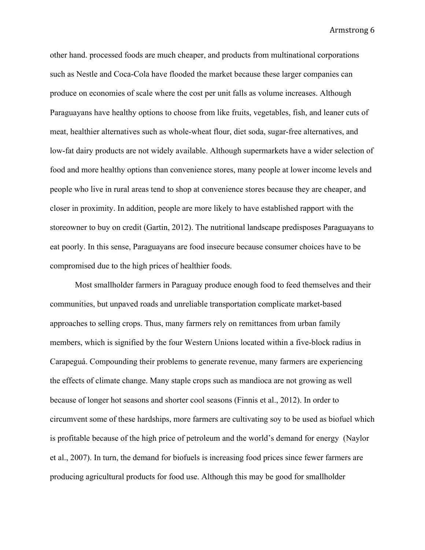other hand. processed foods are much cheaper, and products from multinational corporations such as Nestle and Coca-Cola have flooded the market because these larger companies can produce on economies of scale where the cost per unit falls as volume increases. Although Paraguayans have healthy options to choose from like fruits, vegetables, fish, and leaner cuts of meat, healthier alternatives such as whole-wheat flour, diet soda, sugar-free alternatives, and low-fat dairy products are not widely available. Although supermarkets have a wider selection of food and more healthy options than convenience stores, many people at lower income levels and people who live in rural areas tend to shop at convenience stores because they are cheaper, and closer in proximity. In addition, people are more likely to have established rapport with the storeowner to buy on credit (Gartin, 2012). The nutritional landscape predisposes Paraguayans to eat poorly. In this sense, Paraguayans are food insecure because consumer choices have to be compromised due to the high prices of healthier foods.

Most smallholder farmers in Paraguay produce enough food to feed themselves and their communities, but unpaved roads and unreliable transportation complicate market-based approaches to selling crops. Thus, many farmers rely on remittances from urban family members, which is signified by the four Western Unions located within a five-block radius in Carapeguá. Compounding their problems to generate revenue, many farmers are experiencing the effects of climate change. Many staple crops such as mandioca are not growing as well because of longer hot seasons and shorter cool seasons (Finnis et al., 2012). In order to circumvent some of these hardships, more farmers are cultivating soy to be used as biofuel which is profitable because of the high price of petroleum and the world's demand for energy (Naylor et al., 2007). In turn, the demand for biofuels is increasing food prices since fewer farmers are producing agricultural products for food use. Although this may be good for smallholder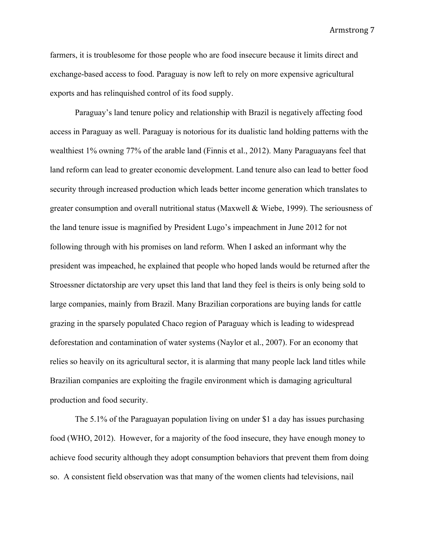farmers, it is troublesome for those people who are food insecure because it limits direct and exchange-based access to food. Paraguay is now left to rely on more expensive agricultural exports and has relinquished control of its food supply.

Paraguay's land tenure policy and relationship with Brazil is negatively affecting food access in Paraguay as well. Paraguay is notorious for its dualistic land holding patterns with the wealthiest 1% owning 77% of the arable land (Finnis et al., 2012). Many Paraguayans feel that land reform can lead to greater economic development. Land tenure also can lead to better food security through increased production which leads better income generation which translates to greater consumption and overall nutritional status (Maxwell & Wiebe, 1999). The seriousness of the land tenure issue is magnified by President Lugo's impeachment in June 2012 for not following through with his promises on land reform. When I asked an informant why the president was impeached, he explained that people who hoped lands would be returned after the Stroessner dictatorship are very upset this land that land they feel is theirs is only being sold to large companies, mainly from Brazil. Many Brazilian corporations are buying lands for cattle grazing in the sparsely populated Chaco region of Paraguay which is leading to widespread deforestation and contamination of water systems (Naylor et al., 2007). For an economy that relies so heavily on its agricultural sector, it is alarming that many people lack land titles while Brazilian companies are exploiting the fragile environment which is damaging agricultural production and food security.

The 5.1% of the Paraguayan population living on under \$1 a day has issues purchasing food (WHO, 2012). However, for a majority of the food insecure, they have enough money to achieve food security although they adopt consumption behaviors that prevent them from doing so. A consistent field observation was that many of the women clients had televisions, nail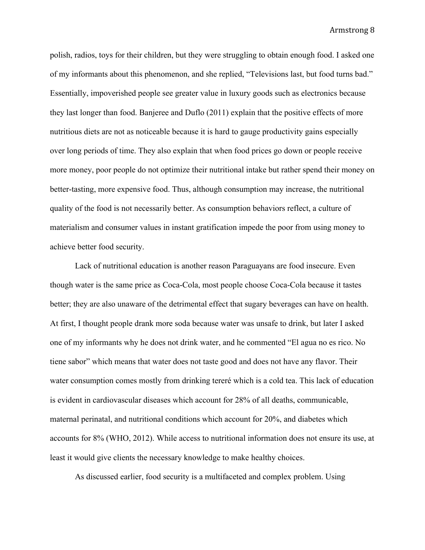polish, radios, toys for their children, but they were struggling to obtain enough food. I asked one of my informants about this phenomenon, and she replied, "Televisions last, but food turns bad." Essentially, impoverished people see greater value in luxury goods such as electronics because they last longer than food. Banjeree and Duflo (2011) explain that the positive effects of more nutritious diets are not as noticeable because it is hard to gauge productivity gains especially over long periods of time. They also explain that when food prices go down or people receive more money, poor people do not optimize their nutritional intake but rather spend their money on better-tasting, more expensive food. Thus, although consumption may increase, the nutritional quality of the food is not necessarily better. As consumption behaviors reflect, a culture of materialism and consumer values in instant gratification impede the poor from using money to achieve better food security.

Lack of nutritional education is another reason Paraguayans are food insecure. Even though water is the same price as Coca-Cola, most people choose Coca-Cola because it tastes better; they are also unaware of the detrimental effect that sugary beverages can have on health. At first, I thought people drank more soda because water was unsafe to drink, but later I asked one of my informants why he does not drink water, and he commented "El agua no es rico. No tiene sabor" which means that water does not taste good and does not have any flavor. Their water consumption comes mostly from drinking tereré which is a cold tea. This lack of education is evident in cardiovascular diseases which account for 28% of all deaths, communicable, maternal perinatal, and nutritional conditions which account for 20%, and diabetes which accounts for 8% (WHO, 2012). While access to nutritional information does not ensure its use, at least it would give clients the necessary knowledge to make healthy choices.

As discussed earlier, food security is a multifaceted and complex problem. Using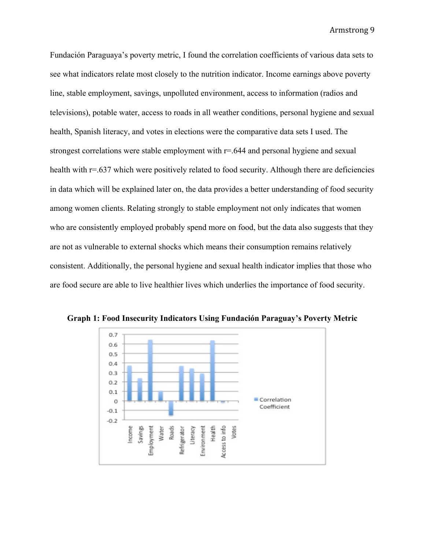Fundación Paraguaya's poverty metric, I found the correlation coefficients of various data sets to see what indicators relate most closely to the nutrition indicator. Income earnings above poverty line, stable employment, savings, unpolluted environment, access to information (radios and televisions), potable water, access to roads in all weather conditions, personal hygiene and sexual health, Spanish literacy, and votes in elections were the comparative data sets I used. The strongest correlations were stable employment with r=.644 and personal hygiene and sexual health with r=.637 which were positively related to food security. Although there are deficiencies in data which will be explained later on, the data provides a better understanding of food security among women clients. Relating strongly to stable employment not only indicates that women who are consistently employed probably spend more on food, but the data also suggests that they are not as vulnerable to external shocks which means their consumption remains relatively consistent. Additionally, the personal hygiene and sexual health indicator implies that those who are food secure are able to live healthier lives which underlies the importance of food security.



**Graph 1: Food Insecurity Indicators Using Fundación Paraguay's Poverty Metric**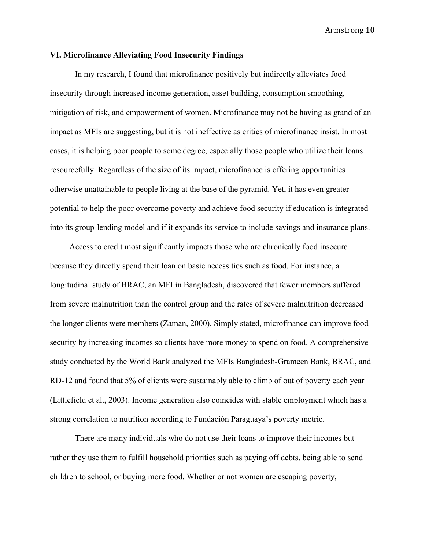## **VI. Microfinance Alleviating Food Insecurity Findings**

In my research, I found that microfinance positively but indirectly alleviates food insecurity through increased income generation, asset building, consumption smoothing, mitigation of risk, and empowerment of women. Microfinance may not be having as grand of an impact as MFIs are suggesting, but it is not ineffective as critics of microfinance insist. In most cases, it is helping poor people to some degree, especially those people who utilize their loans resourcefully. Regardless of the size of its impact, microfinance is offering opportunities otherwise unattainable to people living at the base of the pyramid. Yet, it has even greater potential to help the poor overcome poverty and achieve food security if education is integrated into its group-lending model and if it expands its service to include savings and insurance plans.

Access to credit most significantly impacts those who are chronically food insecure because they directly spend their loan on basic necessities such as food. For instance, a longitudinal study of BRAC, an MFI in Bangladesh, discovered that fewer members suffered from severe malnutrition than the control group and the rates of severe malnutrition decreased the longer clients were members (Zaman, 2000). Simply stated, microfinance can improve food security by increasing incomes so clients have more money to spend on food. A comprehensive study conducted by the World Bank analyzed the MFIs Bangladesh-Grameen Bank, BRAC, and RD-12 and found that 5% of clients were sustainably able to climb of out of poverty each year (Littlefield et al., 2003). Income generation also coincides with stable employment which has a strong correlation to nutrition according to Fundación Paraguaya's poverty metric.

There are many individuals who do not use their loans to improve their incomes but rather they use them to fulfill household priorities such as paying off debts, being able to send children to school, or buying more food. Whether or not women are escaping poverty,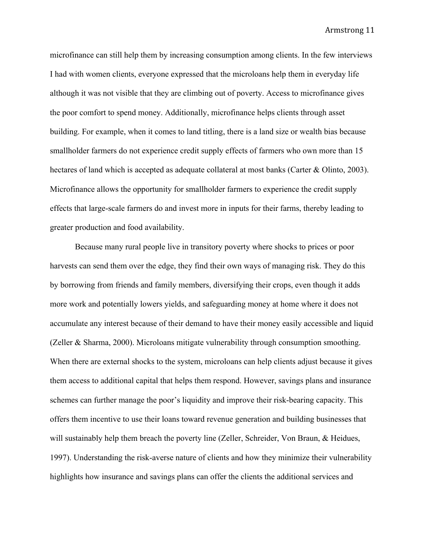microfinance can still help them by increasing consumption among clients. In the few interviews I had with women clients, everyone expressed that the microloans help them in everyday life although it was not visible that they are climbing out of poverty. Access to microfinance gives the poor comfort to spend money. Additionally, microfinance helps clients through asset building. For example, when it comes to land titling, there is a land size or wealth bias because smallholder farmers do not experience credit supply effects of farmers who own more than 15 hectares of land which is accepted as adequate collateral at most banks (Carter & Olinto, 2003). Microfinance allows the opportunity for smallholder farmers to experience the credit supply effects that large-scale farmers do and invest more in inputs for their farms, thereby leading to greater production and food availability.

Because many rural people live in transitory poverty where shocks to prices or poor harvests can send them over the edge, they find their own ways of managing risk. They do this by borrowing from friends and family members, diversifying their crops, even though it adds more work and potentially lowers yields, and safeguarding money at home where it does not accumulate any interest because of their demand to have their money easily accessible and liquid (Zeller & Sharma, 2000). Microloans mitigate vulnerability through consumption smoothing. When there are external shocks to the system, microloans can help clients adjust because it gives them access to additional capital that helps them respond. However, savings plans and insurance schemes can further manage the poor's liquidity and improve their risk-bearing capacity. This offers them incentive to use their loans toward revenue generation and building businesses that will sustainably help them breach the poverty line (Zeller, Schreider, Von Braun, & Heidues, 1997). Understanding the risk-averse nature of clients and how they minimize their vulnerability highlights how insurance and savings plans can offer the clients the additional services and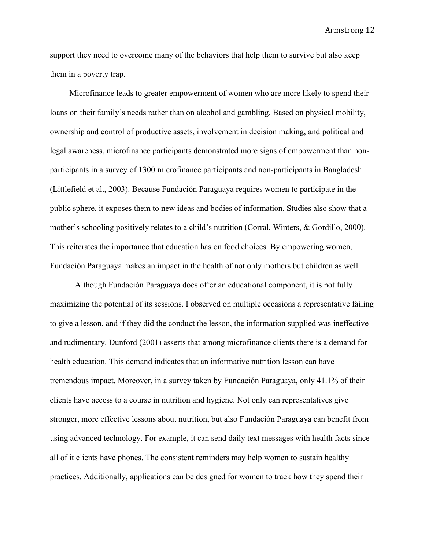support they need to overcome many of the behaviors that help them to survive but also keep them in a poverty trap.

Microfinance leads to greater empowerment of women who are more likely to spend their loans on their family's needs rather than on alcohol and gambling. Based on physical mobility, ownership and control of productive assets, involvement in decision making, and political and legal awareness, microfinance participants demonstrated more signs of empowerment than nonparticipants in a survey of 1300 microfinance participants and non-participants in Bangladesh (Littlefield et al., 2003). Because Fundación Paraguaya requires women to participate in the public sphere, it exposes them to new ideas and bodies of information. Studies also show that a mother's schooling positively relates to a child's nutrition (Corral, Winters, & Gordillo, 2000). This reiterates the importance that education has on food choices. By empowering women, Fundación Paraguaya makes an impact in the health of not only mothers but children as well.

Although Fundación Paraguaya does offer an educational component, it is not fully maximizing the potential of its sessions. I observed on multiple occasions a representative failing to give a lesson, and if they did the conduct the lesson, the information supplied was ineffective and rudimentary. Dunford (2001) asserts that among microfinance clients there is a demand for health education. This demand indicates that an informative nutrition lesson can have tremendous impact. Moreover, in a survey taken by Fundación Paraguaya, only 41.1% of their clients have access to a course in nutrition and hygiene. Not only can representatives give stronger, more effective lessons about nutrition, but also Fundación Paraguaya can benefit from using advanced technology. For example, it can send daily text messages with health facts since all of it clients have phones. The consistent reminders may help women to sustain healthy practices. Additionally, applications can be designed for women to track how they spend their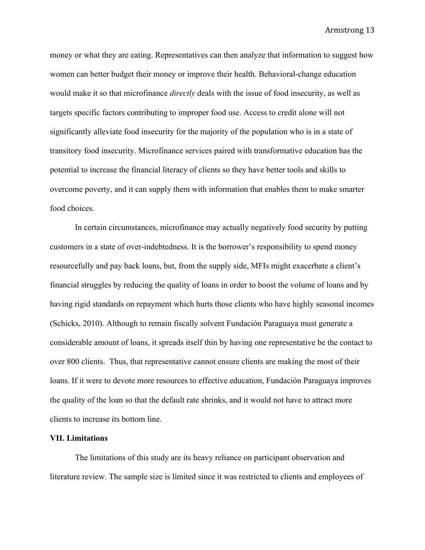money or what they are eating. Representatives can then analyze that information to suggest how women can better budget their money or improve their health. Behavioral-change education would make it so that microfinance *directly* deals with the issue of food insecurity, as well as targets specific factors contributing to improper food use. Access to credit alone will not significantly alleviate food insecurity for the majority of the population who is in a state of transitory food insecurity. Microfinance services paired with transformative education has the potential to increase the financial literacy of clients so they have better tools and skills to overcome poverty, and it can supply them with information that enables them to make smarter food choices.

In certain circumstances, microfinance may actually negatively food security by putting customers in a state of over-indebtedness. It is the borrower's responsibility to spend money resourcefully and pay back loans, but, from the supply side, MFIs might exacerbate a client's financial struggles by reducing the quality of loans in order to boost the volume of loans and by having rigid standards on repayment which hurts those clients who have highly seasonal incomes (Schicks, 2010). Although to remain fiscally solvent Fundación Paraguaya must generate a considerable amount of loans, it spreads itself thin by having one representative be the contact to over 800 clients. Thus, that representative cannot ensure clients are making the most of their loans. If it were to devote more resources to effective education, Fundación Paraguaya improves the quality of the loan so that the default rate shrinks, and it would not have to attract more clients to increase its bottom line.

# **VII. Limitations**

The limitations of this study are its heavy reliance on participant observation and literature review. The sample size is limited since it was restricted to clients and employees of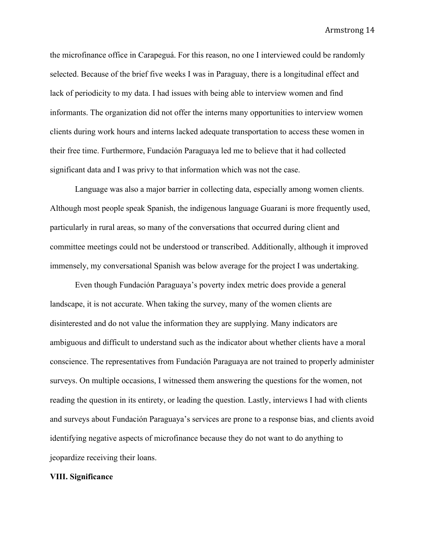the microfinance office in Carapeguá. For this reason, no one I interviewed could be randomly selected. Because of the brief five weeks I was in Paraguay, there is a longitudinal effect and lack of periodicity to my data. I had issues with being able to interview women and find informants. The organization did not offer the interns many opportunities to interview women clients during work hours and interns lacked adequate transportation to access these women in their free time. Furthermore, Fundación Paraguaya led me to believe that it had collected significant data and I was privy to that information which was not the case.

Language was also a major barrier in collecting data, especially among women clients. Although most people speak Spanish, the indigenous language Guarani is more frequently used, particularly in rural areas, so many of the conversations that occurred during client and committee meetings could not be understood or transcribed. Additionally, although it improved immensely, my conversational Spanish was below average for the project I was undertaking.

Even though Fundación Paraguaya's poverty index metric does provide a general landscape, it is not accurate. When taking the survey, many of the women clients are disinterested and do not value the information they are supplying. Many indicators are ambiguous and difficult to understand such as the indicator about whether clients have a moral conscience. The representatives from Fundación Paraguaya are not trained to properly administer surveys. On multiple occasions, I witnessed them answering the questions for the women, not reading the question in its entirety, or leading the question. Lastly, interviews I had with clients and surveys about Fundación Paraguaya's services are prone to a response bias, and clients avoid identifying negative aspects of microfinance because they do not want to do anything to jeopardize receiving their loans.

#### **VIII. Significance**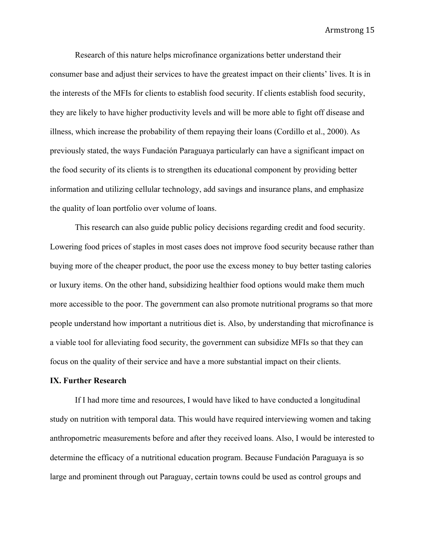Research of this nature helps microfinance organizations better understand their consumer base and adjust their services to have the greatest impact on their clients' lives. It is in the interests of the MFIs for clients to establish food security. If clients establish food security, they are likely to have higher productivity levels and will be more able to fight off disease and illness, which increase the probability of them repaying their loans (Cordillo et al., 2000). As previously stated, the ways Fundación Paraguaya particularly can have a significant impact on the food security of its clients is to strengthen its educational component by providing better information and utilizing cellular technology, add savings and insurance plans, and emphasize the quality of loan portfolio over volume of loans.

This research can also guide public policy decisions regarding credit and food security. Lowering food prices of staples in most cases does not improve food security because rather than buying more of the cheaper product, the poor use the excess money to buy better tasting calories or luxury items. On the other hand, subsidizing healthier food options would make them much more accessible to the poor. The government can also promote nutritional programs so that more people understand how important a nutritious diet is. Also, by understanding that microfinance is a viable tool for alleviating food security, the government can subsidize MFIs so that they can focus on the quality of their service and have a more substantial impact on their clients.

## **IX. Further Research**

If I had more time and resources, I would have liked to have conducted a longitudinal study on nutrition with temporal data. This would have required interviewing women and taking anthropometric measurements before and after they received loans. Also, I would be interested to determine the efficacy of a nutritional education program. Because Fundación Paraguaya is so large and prominent through out Paraguay, certain towns could be used as control groups and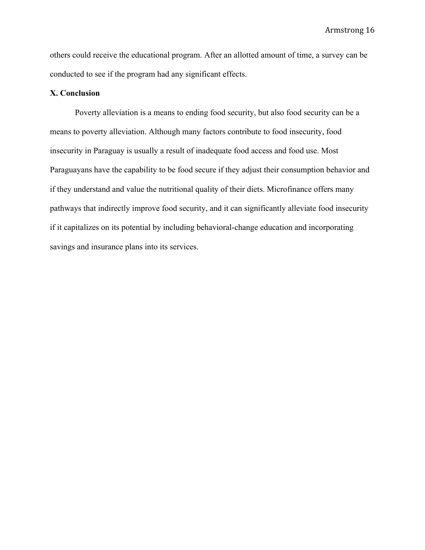others could receive the educational program. After an allotted amount of time, a survey can be conducted to see if the program had any significant effects.

# **X. Conclusion**

Poverty alleviation is a means to ending food security, but also food security can be a means to poverty alleviation. Although many factors contribute to food insecurity, food insecurity in Paraguay is usually a result of inadequate food access and food use. Most Paraguayans have the capability to be food secure if they adjust their consumption behavior and if they understand and value the nutritional quality of their diets. Microfinance offers many pathways that indirectly improve food security, and it can significantly alleviate food insecurity if it capitalizes on its potential by including behavioral-change education and incorporating savings and insurance plans into its services.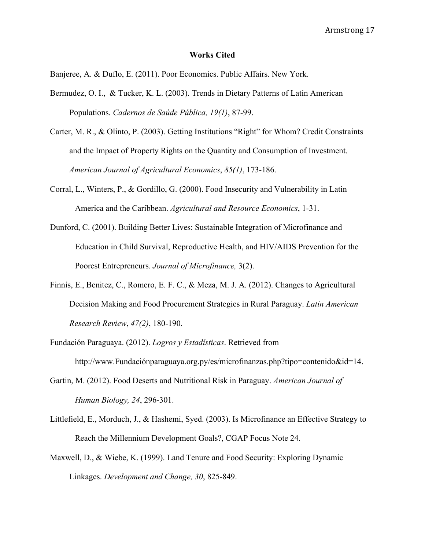#### **Works Cited**

Banjeree, A. & Duflo, E. (2011). Poor Economics. Public Affairs. New York.

- Bermudez, O. I., & Tucker, K. L. (2003). Trends in Dietary Patterns of Latin American Populations. *Cadernos de Saúde Pública, 19(1)*, 87-99.
- Carter, M. R., & Olinto, P. (2003). Getting Institutions "Right" for Whom? Credit Constraints and the Impact of Property Rights on the Quantity and Consumption of Investment. *American Journal of Agricultural Economics*, *85(1)*, 173-186.
- Corral, L., Winters, P., & Gordillo, G. (2000). Food Insecurity and Vulnerability in Latin America and the Caribbean. *Agricultural and Resource Economics*, 1-31.
- Dunford, C. (2001). Building Better Lives: Sustainable Integration of Microfinance and Education in Child Survival, Reproductive Health, and HIV/AIDS Prevention for the Poorest Entrepreneurs. *Journal of Microfinance,* 3(2).
- Finnis, E., Benitez, C., Romero, E. F. C., & Meza, M. J. A. (2012). Changes to Agricultural Decision Making and Food Procurement Strategies in Rural Paraguay. *Latin American Research Review*, *47(2)*, 180-190.
- Fundación Paraguaya. (2012). *Logros y Estadísticas*. Retrieved from http://www.Fundaciónparaguaya.org.py/es/microfinanzas.php?tipo=contenido&id=14.
- Gartin, M. (2012). Food Deserts and Nutritional Risk in Paraguay. *American Journal of Human Biology, 24*, 296-301.
- Littlefield, E., Morduch, J., & Hashemi, Syed. (2003). Is Microfinance an Effective Strategy to Reach the Millennium Development Goals?, CGAP Focus Note 24.
- Maxwell, D., & Wiebe, K. (1999). Land Tenure and Food Security: Exploring Dynamic Linkages. *Development and Change, 30*, 825-849.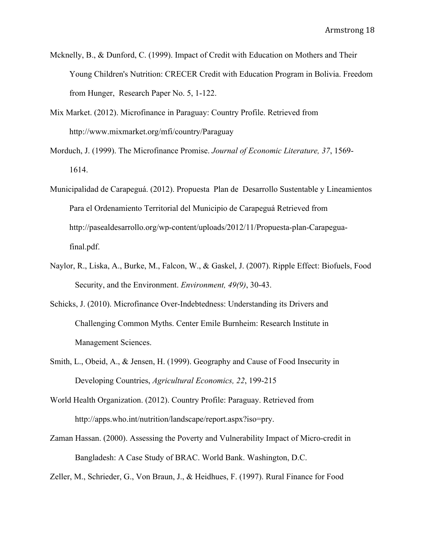- Mcknelly, B., & Dunford, C. (1999). Impact of Credit with Education on Mothers and Their Young Children's Nutrition: CRECER Credit with Education Program in Bolivia. Freedom from Hunger, Research Paper No. 5, 1-122.
- Mix Market. (2012). Microfinance in Paraguay: Country Profile. Retrieved from http://www.mixmarket.org/mfi/country/Paraguay
- Morduch, J. (1999). The Microfinance Promise. *Journal of Economic Literature, 37*, 1569- 1614.
- Municipalidad de Carapeguá. (2012). Propuesta Plan de Desarrollo Sustentable y Lineamientos Para el Ordenamiento Territorial del Municipio de Carapeguá Retrieved from http://pasealdesarrollo.org/wp-content/uploads/2012/11/Propuesta-plan-Carapeguafinal.pdf.
- Naylor, R., Liska, A., Burke, M., Falcon, W., & Gaskel, J. (2007). Ripple Effect: Biofuels, Food Security, and the Environment. *Environment, 49(9)*, 30-43.
- Schicks, J. (2010). Microfinance Over-Indebtedness: Understanding its Drivers and Challenging Common Myths. Center Emile Burnheim: Research Institute in Management Sciences.
- Smith, L., Obeid, A., & Jensen, H. (1999). Geography and Cause of Food Insecurity in Developing Countries, *Agricultural Economics, 22*, 199-215
- World Health Organization. (2012). Country Profile: Paraguay. Retrieved from http://apps.who.int/nutrition/landscape/report.aspx?iso=pry.
- Zaman Hassan. (2000). Assessing the Poverty and Vulnerability Impact of Micro-credit in Bangladesh: A Case Study of BRAC. World Bank. Washington, D.C.

Zeller, M., Schrieder, G., Von Braun, J., & Heidhues, F. (1997). Rural Finance for Food